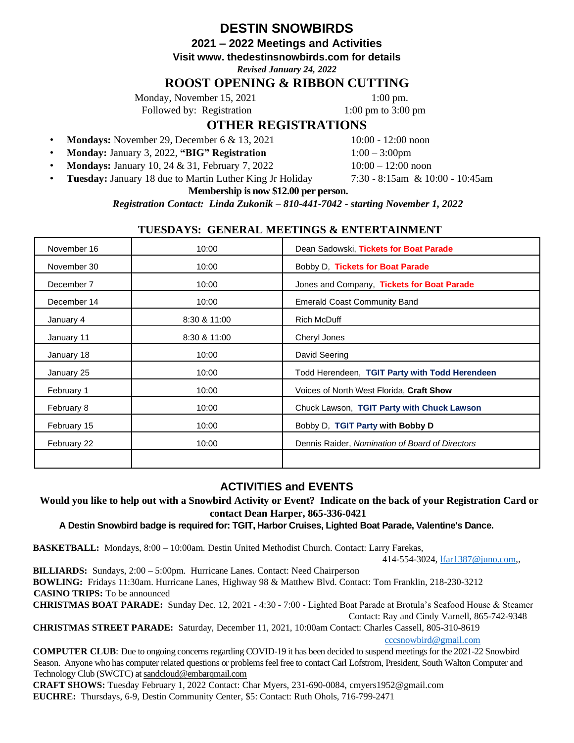# **DESTIN SNOWBIRDS**

**2021 – 2022 Meetings and Activities** 

**Visit www. thedestinsnowbirds.com for details** 

*Revised January 24, 2022*

# **ROOST OPENING & RIBBON CUTTING**

Monday, November 15, 2021 1:00 pm.

Followed by: Registration 1:00 pm to 3:00 pm

# **OTHER REGISTRATIONS**

- **Mondays:** November 29, December 6 & 13, 2021 10:00 12:00 noon
- **Monday:** January 3, 2022, **"BIG" Registration** 1:00 3:00pm

**Mondays:** January 10, 24 & 31, February 7, 2022 10:00 – 12:00 noon

• **Tuesday:** January 18 due to Martin Luther King Jr Holiday 7:30 - 8:15am & 10:00 - 10:45am

### **Membership is now \$12.00 per person.**

*Registration Contact: Linda Zukonik – 810-441-7042 - starting November 1, 2022*

## **TUESDAYS: GENERAL MEETINGS & ENTERTAINMENT**

| November 16 | 10:00        | Dean Sadowski, Tickets for Boat Parade          |  |
|-------------|--------------|-------------------------------------------------|--|
| November 30 | 10:00        | Bobby D, Tickets for Boat Parade                |  |
| December 7  | 10:00        | Jones and Company, Tickets for Boat Parade      |  |
| December 14 | 10:00        | <b>Emerald Coast Community Band</b>             |  |
| January 4   | 8:30 & 11:00 | <b>Rich McDuff</b>                              |  |
| January 11  | 8:30 & 11:00 | Cheryl Jones                                    |  |
| January 18  | 10:00        | David Seering                                   |  |
| January 25  | 10:00        | Todd Herendeen, TGIT Party with Todd Herendeen  |  |
| February 1  | 10:00        | Voices of North West Florida, Craft Show        |  |
| February 8  | 10:00        | Chuck Lawson, TGIT Party with Chuck Lawson      |  |
| February 15 | 10:00        | Bobby D, TGIT Party with Bobby D                |  |
| February 22 | 10:00        | Dennis Raider, Nomination of Board of Directors |  |
|             |              |                                                 |  |

## **ACTIVITIES and EVENTS**

**Would you like to help out with a Snowbird Activity or Event? Indicate on the back of your Registration Card or contact Dean Harper, 865-336-0421**

**A Destin Snowbird badge is required for: TGIT, Harbor Cruises, Lighted Boat Parade, Valentine's Dance.**

**BASKETBALL:** Mondays, 8:00 – 10:00am. Destin United Methodist Church. Contact: Larry Farekas,

414-554-3024, lfar1387@juno.com,,

**BILLIARDS:** Sundays, 2:00 – 5:00pm. Hurricane Lanes. Contact: Need Chairperson **BOWLING:** Fridays 11:30am. Hurricane Lanes, Highway 98 & Matthew Blvd. Contact: Tom Franklin, 218-230-3212 **CASINO TRIPS:** To be announced **CHRISTMAS BOAT PARADE:** Sunday Dec. 12, 2021 - 4:30 - 7:00 - Lighted Boat Parade at Brotula's Seafood House & Steamer

Contact: Ray and Cindy Varnell, 865-742-9348

**CHRISTMAS STREET PARADE:** Saturday, December 11, 2021, 10:00am Contact: Charles Cassell, 805-310-8619

cccsnowbird@gmail.com

**COMPUTER CLUB**: Due to ongoing concerns regarding COVID-19 it has been decided to suspend meetings for the 2021-22 Snowbird Season. Anyone who has computer related questions or problems feel free to contact Carl Lofstrom, President, South Walton Computer and Technology Club (SWCTC) at [sandcloud@embarqmail.com](mailto:sandcloud@embarqmail.com)

**CRAFT SHOWS:** Tuesday February 1, 2022 Contact: Char Myers, 231-690-0084, cmyers1952@gmail.com **EUCHRE:** Thursdays, 6-9, Destin Community Center, \$5: Contact: Ruth Ohols, 716-799-2471